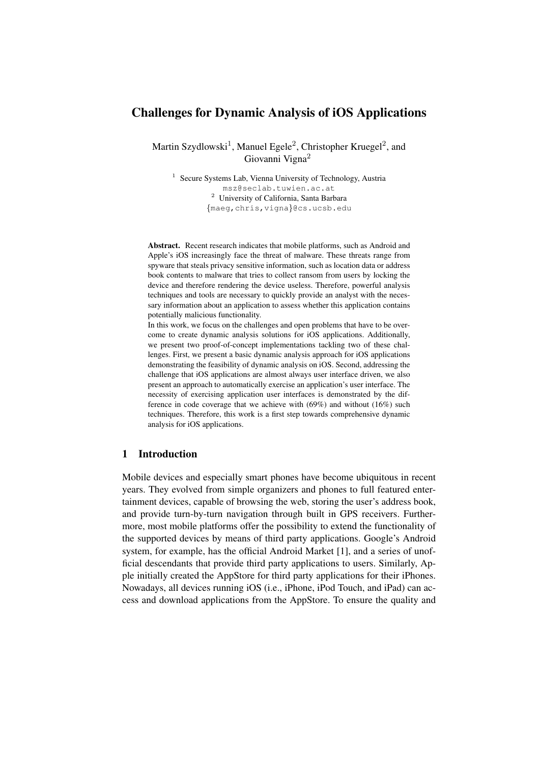# Challenges for Dynamic Analysis of iOS Applications

Martin Szydlowski<sup>1</sup>, Manuel Egele<sup>2</sup>, Christopher Kruegel<sup>2</sup>, and Giovanni Vigna<sup>2</sup>

<sup>1</sup> Secure Systems Lab, Vienna University of Technology, Austria msz@seclab.tuwien.ac.at <sup>2</sup> University of California, Santa Barbara {maeg,chris,vigna}@cs.ucsb.edu

Abstract. Recent research indicates that mobile platforms, such as Android and Apple's iOS increasingly face the threat of malware. These threats range from spyware that steals privacy sensitive information, such as location data or address book contents to malware that tries to collect ransom from users by locking the device and therefore rendering the device useless. Therefore, powerful analysis techniques and tools are necessary to quickly provide an analyst with the necessary information about an application to assess whether this application contains potentially malicious functionality.

In this work, we focus on the challenges and open problems that have to be overcome to create dynamic analysis solutions for iOS applications. Additionally, we present two proof-of-concept implementations tackling two of these challenges. First, we present a basic dynamic analysis approach for iOS applications demonstrating the feasibility of dynamic analysis on iOS. Second, addressing the challenge that iOS applications are almost always user interface driven, we also present an approach to automatically exercise an application's user interface. The necessity of exercising application user interfaces is demonstrated by the difference in code coverage that we achieve with (69%) and without (16%) such techniques. Therefore, this work is a first step towards comprehensive dynamic analysis for iOS applications.

### 1 Introduction

Mobile devices and especially smart phones have become ubiquitous in recent years. They evolved from simple organizers and phones to full featured entertainment devices, capable of browsing the web, storing the user's address book, and provide turn-by-turn navigation through built in GPS receivers. Furthermore, most mobile platforms offer the possibility to extend the functionality of the supported devices by means of third party applications. Google's Android system, for example, has the official Android Market [1], and a series of unofficial descendants that provide third party applications to users. Similarly, Apple initially created the AppStore for third party applications for their iPhones. Nowadays, all devices running iOS (i.e., iPhone, iPod Touch, and iPad) can access and download applications from the AppStore. To ensure the quality and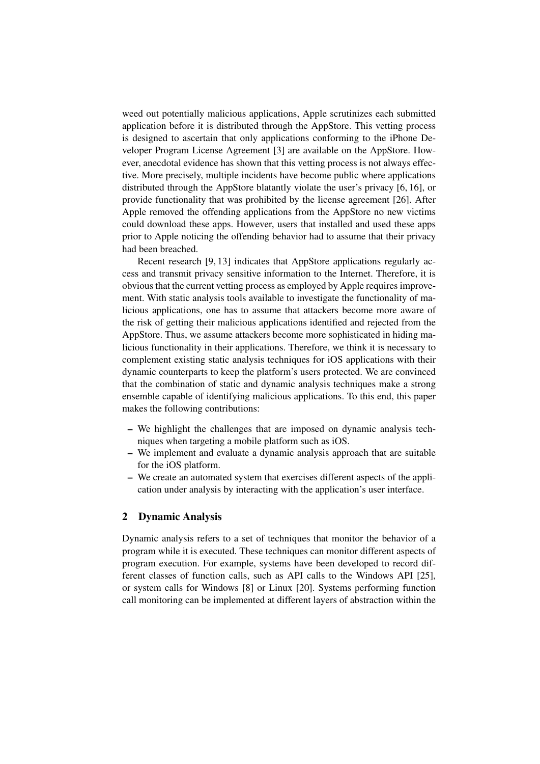weed out potentially malicious applications, Apple scrutinizes each submitted application before it is distributed through the AppStore. This vetting process is designed to ascertain that only applications conforming to the iPhone Developer Program License Agreement [3] are available on the AppStore. However, anecdotal evidence has shown that this vetting process is not always effective. More precisely, multiple incidents have become public where applications distributed through the AppStore blatantly violate the user's privacy [6, 16], or provide functionality that was prohibited by the license agreement [26]. After Apple removed the offending applications from the AppStore no new victims could download these apps. However, users that installed and used these apps prior to Apple noticing the offending behavior had to assume that their privacy had been breached.

Recent research [9, 13] indicates that AppStore applications regularly access and transmit privacy sensitive information to the Internet. Therefore, it is obvious that the current vetting process as employed by Apple requires improvement. With static analysis tools available to investigate the functionality of malicious applications, one has to assume that attackers become more aware of the risk of getting their malicious applications identified and rejected from the AppStore. Thus, we assume attackers become more sophisticated in hiding malicious functionality in their applications. Therefore, we think it is necessary to complement existing static analysis techniques for iOS applications with their dynamic counterparts to keep the platform's users protected. We are convinced that the combination of static and dynamic analysis techniques make a strong ensemble capable of identifying malicious applications. To this end, this paper makes the following contributions:

- We highlight the challenges that are imposed on dynamic analysis techniques when targeting a mobile platform such as iOS.
- We implement and evaluate a dynamic analysis approach that are suitable for the iOS platform.
- We create an automated system that exercises different aspects of the application under analysis by interacting with the application's user interface.

### 2 Dynamic Analysis

Dynamic analysis refers to a set of techniques that monitor the behavior of a program while it is executed. These techniques can monitor different aspects of program execution. For example, systems have been developed to record different classes of function calls, such as API calls to the Windows API [25], or system calls for Windows [8] or Linux [20]. Systems performing function call monitoring can be implemented at different layers of abstraction within the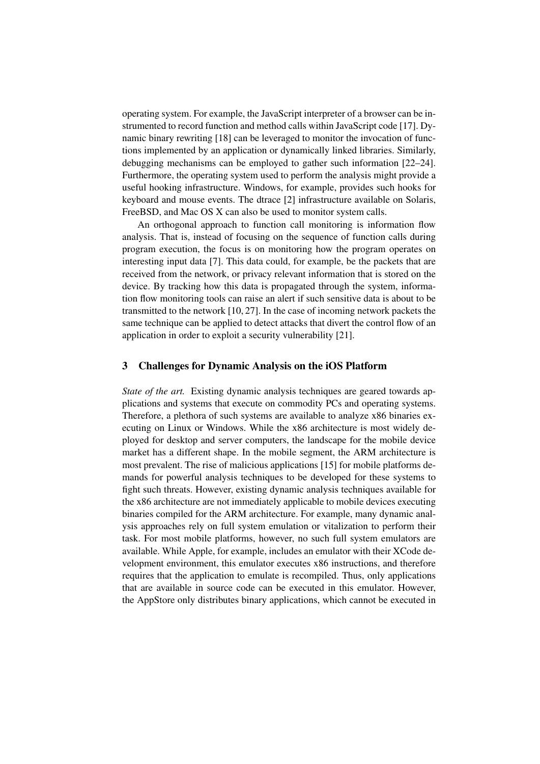operating system. For example, the JavaScript interpreter of a browser can be instrumented to record function and method calls within JavaScript code [17]. Dynamic binary rewriting [18] can be leveraged to monitor the invocation of functions implemented by an application or dynamically linked libraries. Similarly, debugging mechanisms can be employed to gather such information [22–24]. Furthermore, the operating system used to perform the analysis might provide a useful hooking infrastructure. Windows, for example, provides such hooks for keyboard and mouse events. The dtrace [2] infrastructure available on Solaris, FreeBSD, and Mac OS X can also be used to monitor system calls.

An orthogonal approach to function call monitoring is information flow analysis. That is, instead of focusing on the sequence of function calls during program execution, the focus is on monitoring how the program operates on interesting input data [7]. This data could, for example, be the packets that are received from the network, or privacy relevant information that is stored on the device. By tracking how this data is propagated through the system, information flow monitoring tools can raise an alert if such sensitive data is about to be transmitted to the network [10, 27]. In the case of incoming network packets the same technique can be applied to detect attacks that divert the control flow of an application in order to exploit a security vulnerability [21].

### 3 Challenges for Dynamic Analysis on the iOS Platform

*State of the art.* Existing dynamic analysis techniques are geared towards applications and systems that execute on commodity PCs and operating systems. Therefore, a plethora of such systems are available to analyze x86 binaries executing on Linux or Windows. While the x86 architecture is most widely deployed for desktop and server computers, the landscape for the mobile device market has a different shape. In the mobile segment, the ARM architecture is most prevalent. The rise of malicious applications [15] for mobile platforms demands for powerful analysis techniques to be developed for these systems to fight such threats. However, existing dynamic analysis techniques available for the x86 architecture are not immediately applicable to mobile devices executing binaries compiled for the ARM architecture. For example, many dynamic analysis approaches rely on full system emulation or vitalization to perform their task. For most mobile platforms, however, no such full system emulators are available. While Apple, for example, includes an emulator with their XCode development environment, this emulator executes x86 instructions, and therefore requires that the application to emulate is recompiled. Thus, only applications that are available in source code can be executed in this emulator. However, the AppStore only distributes binary applications, which cannot be executed in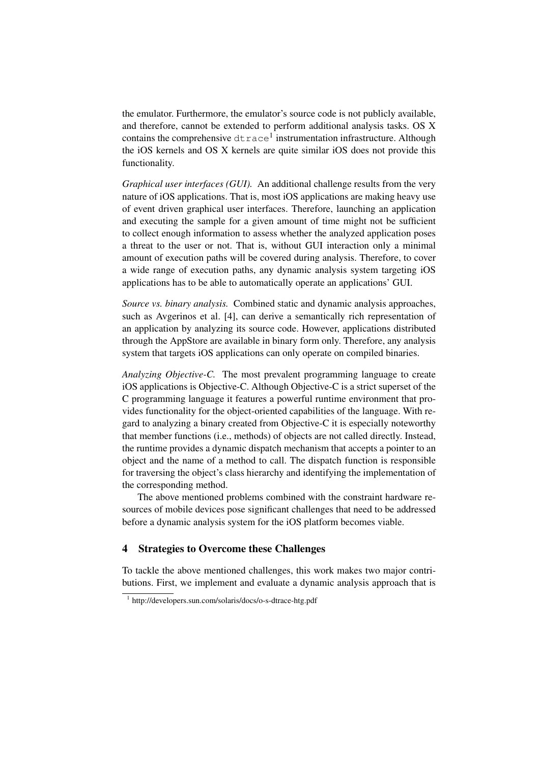the emulator. Furthermore, the emulator's source code is not publicly available, and therefore, cannot be extended to perform additional analysis tasks. OS X contains the comprehensive  $dt$  race<sup>1</sup> instrumentation infrastructure. Although the iOS kernels and OS X kernels are quite similar iOS does not provide this functionality.

*Graphical user interfaces (GUI).* An additional challenge results from the very nature of iOS applications. That is, most iOS applications are making heavy use of event driven graphical user interfaces. Therefore, launching an application and executing the sample for a given amount of time might not be sufficient to collect enough information to assess whether the analyzed application poses a threat to the user or not. That is, without GUI interaction only a minimal amount of execution paths will be covered during analysis. Therefore, to cover a wide range of execution paths, any dynamic analysis system targeting iOS applications has to be able to automatically operate an applications' GUI.

*Source vs. binary analysis.* Combined static and dynamic analysis approaches, such as Avgerinos et al. [4], can derive a semantically rich representation of an application by analyzing its source code. However, applications distributed through the AppStore are available in binary form only. Therefore, any analysis system that targets iOS applications can only operate on compiled binaries.

*Analyzing Objective-C.* The most prevalent programming language to create iOS applications is Objective-C. Although Objective-C is a strict superset of the C programming language it features a powerful runtime environment that provides functionality for the object-oriented capabilities of the language. With regard to analyzing a binary created from Objective-C it is especially noteworthy that member functions (i.e., methods) of objects are not called directly. Instead, the runtime provides a dynamic dispatch mechanism that accepts a pointer to an object and the name of a method to call. The dispatch function is responsible for traversing the object's class hierarchy and identifying the implementation of the corresponding method.

The above mentioned problems combined with the constraint hardware resources of mobile devices pose significant challenges that need to be addressed before a dynamic analysis system for the iOS platform becomes viable.

#### 4 Strategies to Overcome these Challenges

To tackle the above mentioned challenges, this work makes two major contributions. First, we implement and evaluate a dynamic analysis approach that is

<sup>1</sup> http://developers.sun.com/solaris/docs/o-s-dtrace-htg.pdf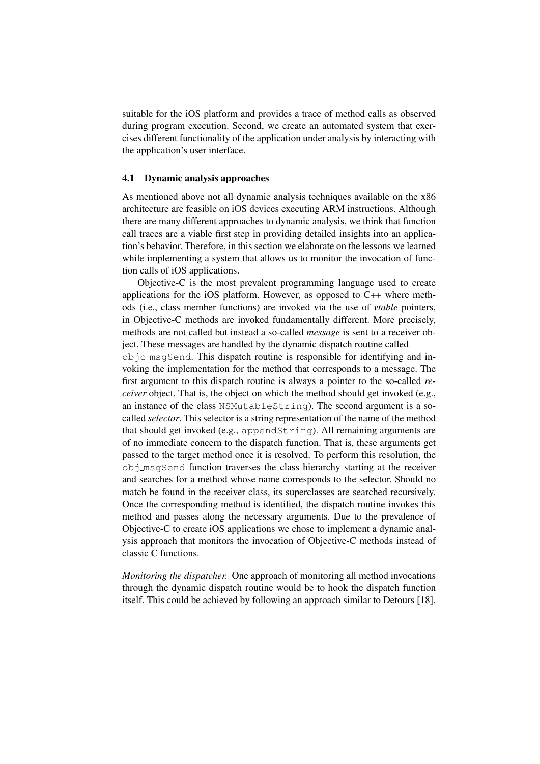suitable for the iOS platform and provides a trace of method calls as observed during program execution. Second, we create an automated system that exercises different functionality of the application under analysis by interacting with the application's user interface.

#### 4.1 Dynamic analysis approaches

As mentioned above not all dynamic analysis techniques available on the x86 architecture are feasible on iOS devices executing ARM instructions. Although there are many different approaches to dynamic analysis, we think that function call traces are a viable first step in providing detailed insights into an application's behavior. Therefore, in this section we elaborate on the lessons we learned while implementing a system that allows us to monitor the invocation of function calls of iOS applications.

Objective-C is the most prevalent programming language used to create applications for the iOS platform. However, as opposed to C++ where methods (i.e., class member functions) are invoked via the use of *vtable* pointers, in Objective-C methods are invoked fundamentally different. More precisely, methods are not called but instead a so-called *message* is sent to a receiver object. These messages are handled by the dynamic dispatch routine called objc msgSend. This dispatch routine is responsible for identifying and invoking the implementation for the method that corresponds to a message. The first argument to this dispatch routine is always a pointer to the so-called *receiver* object. That is, the object on which the method should get invoked (e.g., an instance of the class NSMutableString). The second argument is a socalled *selector*. This selector is a string representation of the name of the method that should get invoked (e.g., append $String$ ). All remaining arguments are of no immediate concern to the dispatch function. That is, these arguments get passed to the target method once it is resolved. To perform this resolution, the obj msgSend function traverses the class hierarchy starting at the receiver and searches for a method whose name corresponds to the selector. Should no match be found in the receiver class, its superclasses are searched recursively. Once the corresponding method is identified, the dispatch routine invokes this method and passes along the necessary arguments. Due to the prevalence of Objective-C to create iOS applications we chose to implement a dynamic analysis approach that monitors the invocation of Objective-C methods instead of classic C functions.

*Monitoring the dispatcher.* One approach of monitoring all method invocations through the dynamic dispatch routine would be to hook the dispatch function itself. This could be achieved by following an approach similar to Detours [18].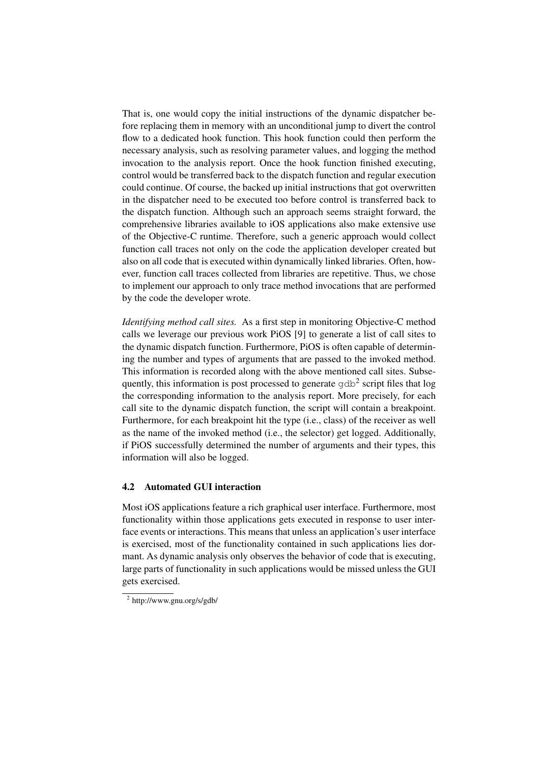That is, one would copy the initial instructions of the dynamic dispatcher before replacing them in memory with an unconditional jump to divert the control flow to a dedicated hook function. This hook function could then perform the necessary analysis, such as resolving parameter values, and logging the method invocation to the analysis report. Once the hook function finished executing, control would be transferred back to the dispatch function and regular execution could continue. Of course, the backed up initial instructions that got overwritten in the dispatcher need to be executed too before control is transferred back to the dispatch function. Although such an approach seems straight forward, the comprehensive libraries available to iOS applications also make extensive use of the Objective-C runtime. Therefore, such a generic approach would collect function call traces not only on the code the application developer created but also on all code that is executed within dynamically linked libraries. Often, however, function call traces collected from libraries are repetitive. Thus, we chose to implement our approach to only trace method invocations that are performed by the code the developer wrote.

*Identifying method call sites.* As a first step in monitoring Objective-C method calls we leverage our previous work PiOS [9] to generate a list of call sites to the dynamic dispatch function. Furthermore, PiOS is often capable of determining the number and types of arguments that are passed to the invoked method. This information is recorded along with the above mentioned call sites. Subsequently, this information is post processed to generate  $\delta$ db<sup>2</sup> script files that log the corresponding information to the analysis report. More precisely, for each call site to the dynamic dispatch function, the script will contain a breakpoint. Furthermore, for each breakpoint hit the type (i.e., class) of the receiver as well as the name of the invoked method (i.e., the selector) get logged. Additionally, if PiOS successfully determined the number of arguments and their types, this information will also be logged.

## 4.2 Automated GUI interaction

Most iOS applications feature a rich graphical user interface. Furthermore, most functionality within those applications gets executed in response to user interface events or interactions. This means that unless an application's user interface is exercised, most of the functionality contained in such applications lies dormant. As dynamic analysis only observes the behavior of code that is executing, large parts of functionality in such applications would be missed unless the GUI gets exercised.

<sup>2</sup> http://www.gnu.org/s/gdb/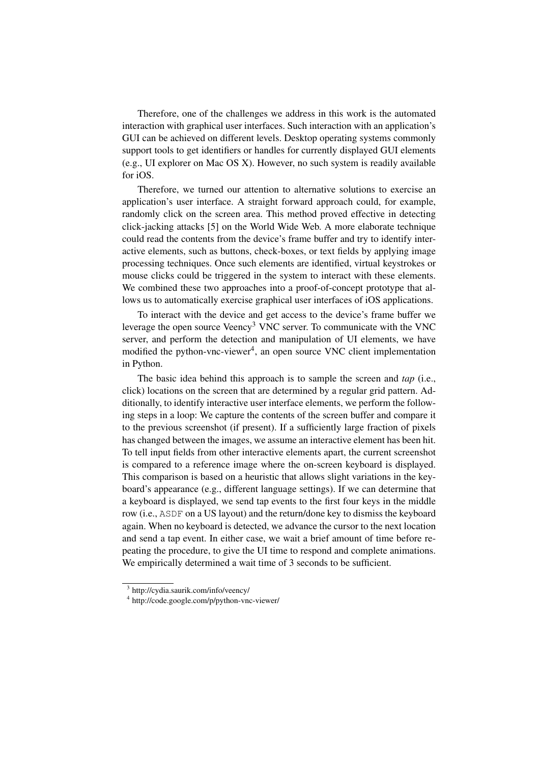Therefore, one of the challenges we address in this work is the automated interaction with graphical user interfaces. Such interaction with an application's GUI can be achieved on different levels. Desktop operating systems commonly support tools to get identifiers or handles for currently displayed GUI elements (e.g., UI explorer on Mac OS X). However, no such system is readily available for iOS.

Therefore, we turned our attention to alternative solutions to exercise an application's user interface. A straight forward approach could, for example, randomly click on the screen area. This method proved effective in detecting click-jacking attacks [5] on the World Wide Web. A more elaborate technique could read the contents from the device's frame buffer and try to identify interactive elements, such as buttons, check-boxes, or text fields by applying image processing techniques. Once such elements are identified, virtual keystrokes or mouse clicks could be triggered in the system to interact with these elements. We combined these two approaches into a proof-of-concept prototype that allows us to automatically exercise graphical user interfaces of iOS applications.

To interact with the device and get access to the device's frame buffer we leverage the open source Veency<sup>3</sup> VNC server. To communicate with the VNC server, and perform the detection and manipulation of UI elements, we have modified the python-vnc-viewer<sup>4</sup>, an open source VNC client implementation in Python.

The basic idea behind this approach is to sample the screen and *tap* (i.e., click) locations on the screen that are determined by a regular grid pattern. Additionally, to identify interactive user interface elements, we perform the following steps in a loop: We capture the contents of the screen buffer and compare it to the previous screenshot (if present). If a sufficiently large fraction of pixels has changed between the images, we assume an interactive element has been hit. To tell input fields from other interactive elements apart, the current screenshot is compared to a reference image where the on-screen keyboard is displayed. This comparison is based on a heuristic that allows slight variations in the keyboard's appearance (e.g., different language settings). If we can determine that a keyboard is displayed, we send tap events to the first four keys in the middle row (i.e., ASDF on a US layout) and the return/done key to dismiss the keyboard again. When no keyboard is detected, we advance the cursor to the next location and send a tap event. In either case, we wait a brief amount of time before repeating the procedure, to give the UI time to respond and complete animations. We empirically determined a wait time of 3 seconds to be sufficient.

<sup>3</sup> http://cydia.saurik.com/info/veency/

<sup>4</sup> http://code.google.com/p/python-vnc-viewer/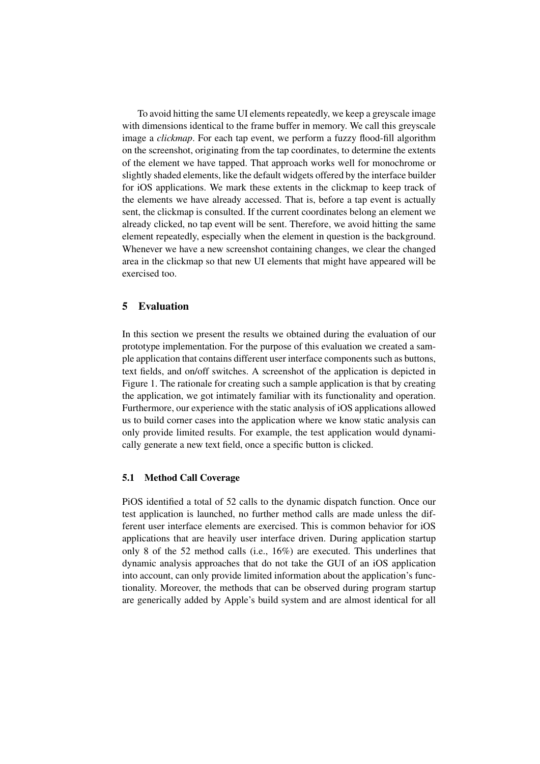To avoid hitting the same UI elements repeatedly, we keep a greyscale image with dimensions identical to the frame buffer in memory. We call this greyscale image a *clickmap*. For each tap event, we perform a fuzzy flood-fill algorithm on the screenshot, originating from the tap coordinates, to determine the extents of the element we have tapped. That approach works well for monochrome or slightly shaded elements, like the default widgets offered by the interface builder for iOS applications. We mark these extents in the clickmap to keep track of the elements we have already accessed. That is, before a tap event is actually sent, the clickmap is consulted. If the current coordinates belong an element we already clicked, no tap event will be sent. Therefore, we avoid hitting the same element repeatedly, especially when the element in question is the background. Whenever we have a new screenshot containing changes, we clear the changed area in the clickmap so that new UI elements that might have appeared will be exercised too.

## 5 Evaluation

In this section we present the results we obtained during the evaluation of our prototype implementation. For the purpose of this evaluation we created a sample application that contains different user interface components such as buttons, text fields, and on/off switches. A screenshot of the application is depicted in Figure 1. The rationale for creating such a sample application is that by creating the application, we got intimately familiar with its functionality and operation. Furthermore, our experience with the static analysis of iOS applications allowed us to build corner cases into the application where we know static analysis can only provide limited results. For example, the test application would dynamically generate a new text field, once a specific button is clicked.

#### 5.1 Method Call Coverage

PiOS identified a total of 52 calls to the dynamic dispatch function. Once our test application is launched, no further method calls are made unless the different user interface elements are exercised. This is common behavior for iOS applications that are heavily user interface driven. During application startup only 8 of the 52 method calls (i.e., 16%) are executed. This underlines that dynamic analysis approaches that do not take the GUI of an iOS application into account, can only provide limited information about the application's functionality. Moreover, the methods that can be observed during program startup are generically added by Apple's build system and are almost identical for all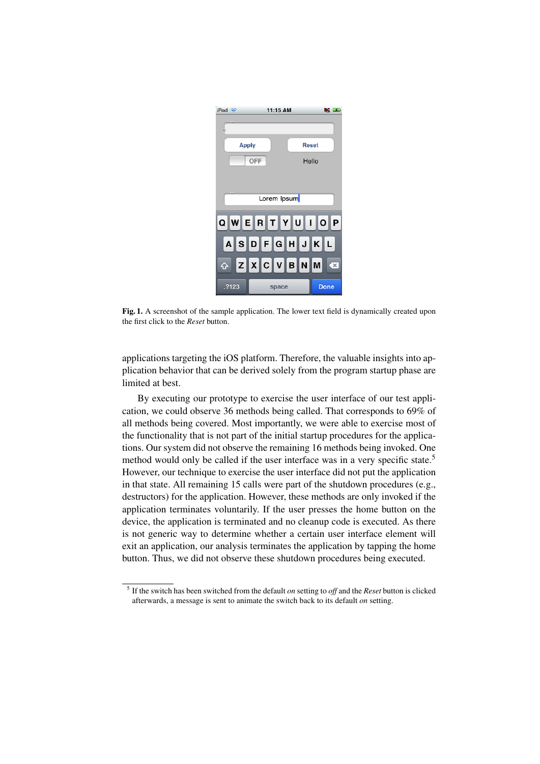

Fig. 1. A screenshot of the sample application. The lower text field is dynamically created upon the first click to the *Reset* button.

applications targeting the iOS platform. Therefore, the valuable insights into application behavior that can be derived solely from the program startup phase are limited at best.

By executing our prototype to exercise the user interface of our test application, we could observe 36 methods being called. That corresponds to 69% of all methods being covered. Most importantly, we were able to exercise most of the functionality that is not part of the initial startup procedures for the applications. Our system did not observe the remaining 16 methods being invoked. One method would only be called if the user interface was in a very specific state.<sup>5</sup> However, our technique to exercise the user interface did not put the application in that state. All remaining 15 calls were part of the shutdown procedures (e.g., destructors) for the application. However, these methods are only invoked if the application terminates voluntarily. If the user presses the home button on the device, the application is terminated and no cleanup code is executed. As there is not generic way to determine whether a certain user interface element will exit an application, our analysis terminates the application by tapping the home button. Thus, we did not observe these shutdown procedures being executed.

<sup>5</sup> If the switch has been switched from the default *on* setting to *off* and the *Reset* button is clicked afterwards, a message is sent to animate the switch back to its default *on* setting.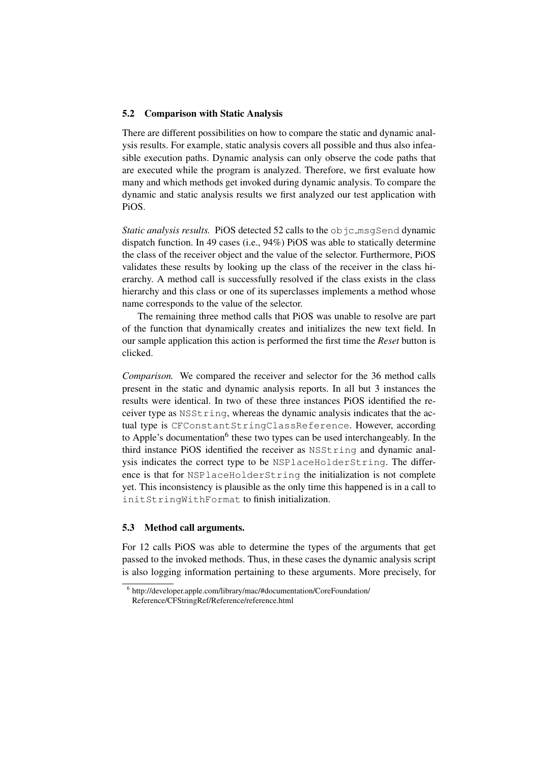#### 5.2 Comparison with Static Analysis

There are different possibilities on how to compare the static and dynamic analysis results. For example, static analysis covers all possible and thus also infeasible execution paths. Dynamic analysis can only observe the code paths that are executed while the program is analyzed. Therefore, we first evaluate how many and which methods get invoked during dynamic analysis. To compare the dynamic and static analysis results we first analyzed our test application with PiO<sub>S</sub>

*Static analysis results.* PiOS detected 52 calls to the objc\_msqSend dynamic dispatch function. In 49 cases (i.e., 94%) PiOS was able to statically determine the class of the receiver object and the value of the selector. Furthermore, PiOS validates these results by looking up the class of the receiver in the class hierarchy. A method call is successfully resolved if the class exists in the class hierarchy and this class or one of its superclasses implements a method whose name corresponds to the value of the selector.

The remaining three method calls that PiOS was unable to resolve are part of the function that dynamically creates and initializes the new text field. In our sample application this action is performed the first time the *Reset* button is clicked.

*Comparison.* We compared the receiver and selector for the 36 method calls present in the static and dynamic analysis reports. In all but 3 instances the results were identical. In two of these three instances PiOS identified the receiver type as NSString, whereas the dynamic analysis indicates that the actual type is CFConstantStringClassReference. However, according to Apple's documentation<sup>6</sup> these two types can be used interchangeably. In the third instance PiOS identified the receiver as NSString and dynamic analysis indicates the correct type to be NSPlaceHolderString. The difference is that for NSPlaceHolderString the initialization is not complete yet. This inconsistency is plausible as the only time this happened is in a call to initStringWithFormat to finish initialization.

#### 5.3 Method call arguments.

For 12 calls PiOS was able to determine the types of the arguments that get passed to the invoked methods. Thus, in these cases the dynamic analysis script is also logging information pertaining to these arguments. More precisely, for

<sup>6</sup> http://developer.apple.com/library/mac/#documentation/CoreFoundation/ Reference/CFStringRef/Reference/reference.html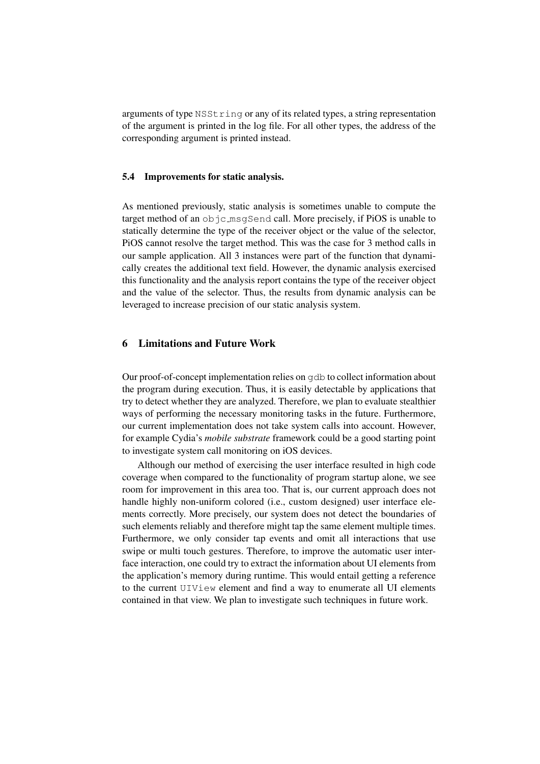arguments of type NSString or any of its related types, a string representation of the argument is printed in the log file. For all other types, the address of the corresponding argument is printed instead.

#### 5.4 Improvements for static analysis.

As mentioned previously, static analysis is sometimes unable to compute the target method of an  $\circ$ b jc\_msqSend call. More precisely, if PiOS is unable to statically determine the type of the receiver object or the value of the selector, PiOS cannot resolve the target method. This was the case for 3 method calls in our sample application. All 3 instances were part of the function that dynamically creates the additional text field. However, the dynamic analysis exercised this functionality and the analysis report contains the type of the receiver object and the value of the selector. Thus, the results from dynamic analysis can be leveraged to increase precision of our static analysis system.

# 6 Limitations and Future Work

Our proof-of-concept implementation relies on gdb to collect information about the program during execution. Thus, it is easily detectable by applications that try to detect whether they are analyzed. Therefore, we plan to evaluate stealthier ways of performing the necessary monitoring tasks in the future. Furthermore, our current implementation does not take system calls into account. However, for example Cydia's *mobile substrate* framework could be a good starting point to investigate system call monitoring on iOS devices.

Although our method of exercising the user interface resulted in high code coverage when compared to the functionality of program startup alone, we see room for improvement in this area too. That is, our current approach does not handle highly non-uniform colored (i.e., custom designed) user interface elements correctly. More precisely, our system does not detect the boundaries of such elements reliably and therefore might tap the same element multiple times. Furthermore, we only consider tap events and omit all interactions that use swipe or multi touch gestures. Therefore, to improve the automatic user interface interaction, one could try to extract the information about UI elements from the application's memory during runtime. This would entail getting a reference to the current UIView element and find a way to enumerate all UI elements contained in that view. We plan to investigate such techniques in future work.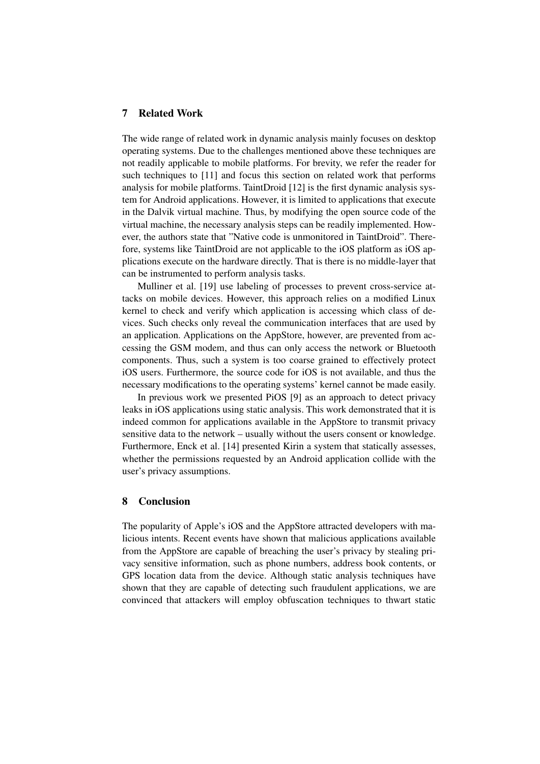### 7 Related Work

The wide range of related work in dynamic analysis mainly focuses on desktop operating systems. Due to the challenges mentioned above these techniques are not readily applicable to mobile platforms. For brevity, we refer the reader for such techniques to [11] and focus this section on related work that performs analysis for mobile platforms. TaintDroid [12] is the first dynamic analysis system for Android applications. However, it is limited to applications that execute in the Dalvik virtual machine. Thus, by modifying the open source code of the virtual machine, the necessary analysis steps can be readily implemented. However, the authors state that "Native code is unmonitored in TaintDroid". Therefore, systems like TaintDroid are not applicable to the iOS platform as iOS applications execute on the hardware directly. That is there is no middle-layer that can be instrumented to perform analysis tasks.

Mulliner et al. [19] use labeling of processes to prevent cross-service attacks on mobile devices. However, this approach relies on a modified Linux kernel to check and verify which application is accessing which class of devices. Such checks only reveal the communication interfaces that are used by an application. Applications on the AppStore, however, are prevented from accessing the GSM modem, and thus can only access the network or Bluetooth components. Thus, such a system is too coarse grained to effectively protect iOS users. Furthermore, the source code for iOS is not available, and thus the necessary modifications to the operating systems' kernel cannot be made easily.

In previous work we presented PiOS [9] as an approach to detect privacy leaks in iOS applications using static analysis. This work demonstrated that it is indeed common for applications available in the AppStore to transmit privacy sensitive data to the network – usually without the users consent or knowledge. Furthermore, Enck et al. [14] presented Kirin a system that statically assesses, whether the permissions requested by an Android application collide with the user's privacy assumptions.

#### 8 Conclusion

The popularity of Apple's iOS and the AppStore attracted developers with malicious intents. Recent events have shown that malicious applications available from the AppStore are capable of breaching the user's privacy by stealing privacy sensitive information, such as phone numbers, address book contents, or GPS location data from the device. Although static analysis techniques have shown that they are capable of detecting such fraudulent applications, we are convinced that attackers will employ obfuscation techniques to thwart static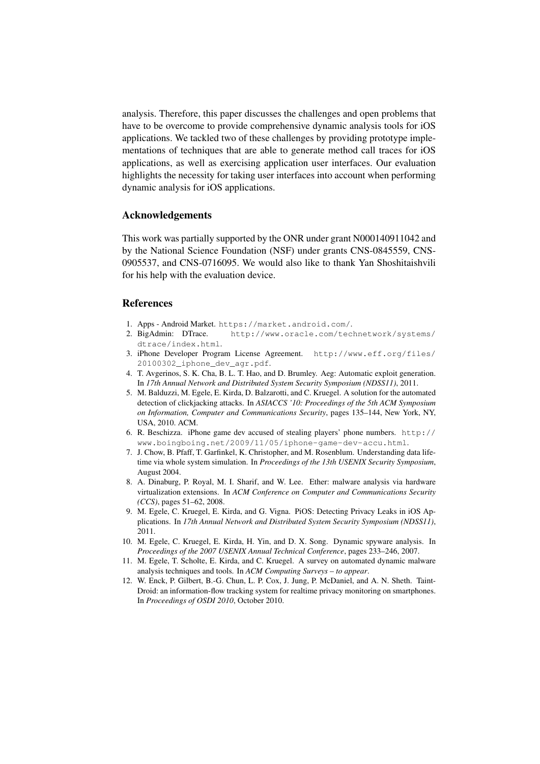analysis. Therefore, this paper discusses the challenges and open problems that have to be overcome to provide comprehensive dynamic analysis tools for iOS applications. We tackled two of these challenges by providing prototype implementations of techniques that are able to generate method call traces for iOS applications, as well as exercising application user interfaces. Our evaluation highlights the necessity for taking user interfaces into account when performing dynamic analysis for iOS applications.

## Acknowledgements

This work was partially supported by the ONR under grant N000140911042 and by the National Science Foundation (NSF) under grants CNS-0845559, CNS-0905537, and CNS-0716095. We would also like to thank Yan Shoshitaishvili for his help with the evaluation device.

### References

- 1. Apps Android Market. https://market.android.com/.
- 2. BigAdmin: DTrace. http://www.oracle.com/technetwork/systems/ dtrace/index.html.
- 3. iPhone Developer Program License Agreement. http://www.eff.org/files/ 20100302\_iphone\_dev\_agr.pdf.
- 4. T. Avgerinos, S. K. Cha, B. L. T. Hao, and D. Brumley. Aeg: Automatic exploit generation. In *17th Annual Network and Distributed System Security Symposium (NDSS11)*, 2011.
- 5. M. Balduzzi, M. Egele, E. Kirda, D. Balzarotti, and C. Kruegel. A solution for the automated detection of clickjacking attacks. In *ASIACCS '10: Proceedings of the 5th ACM Symposium on Information, Computer and Communications Security*, pages 135–144, New York, NY, USA, 2010. ACM.
- 6. R. Beschizza. iPhone game dev accused of stealing players' phone numbers. http:// www.boingboing.net/2009/11/05/iphone-game-dev-accu.html.
- 7. J. Chow, B. Pfaff, T. Garfinkel, K. Christopher, and M. Rosenblum. Understanding data lifetime via whole system simulation. In *Proceedings of the 13th USENIX Security Symposium*, August 2004.
- 8. A. Dinaburg, P. Royal, M. I. Sharif, and W. Lee. Ether: malware analysis via hardware virtualization extensions. In *ACM Conference on Computer and Communications Security (CCS)*, pages 51–62, 2008.
- 9. M. Egele, C. Kruegel, E. Kirda, and G. Vigna. PiOS: Detecting Privacy Leaks in iOS Applications. In *17th Annual Network and Distributed System Security Symposium (NDSS11)*, 2011.
- 10. M. Egele, C. Kruegel, E. Kirda, H. Yin, and D. X. Song. Dynamic spyware analysis. In *Proceedings of the 2007 USENIX Annual Technical Conference*, pages 233–246, 2007.
- 11. M. Egele, T. Scholte, E. Kirda, and C. Kruegel. A survey on automated dynamic malware analysis techniques and tools. In *ACM Computing Surveys – to appear*.
- 12. W. Enck, P. Gilbert, B.-G. Chun, L. P. Cox, J. Jung, P. McDaniel, and A. N. Sheth. Taint-Droid: an information-flow tracking system for realtime privacy monitoring on smartphones. In *Proceedings of OSDI 2010*, October 2010.